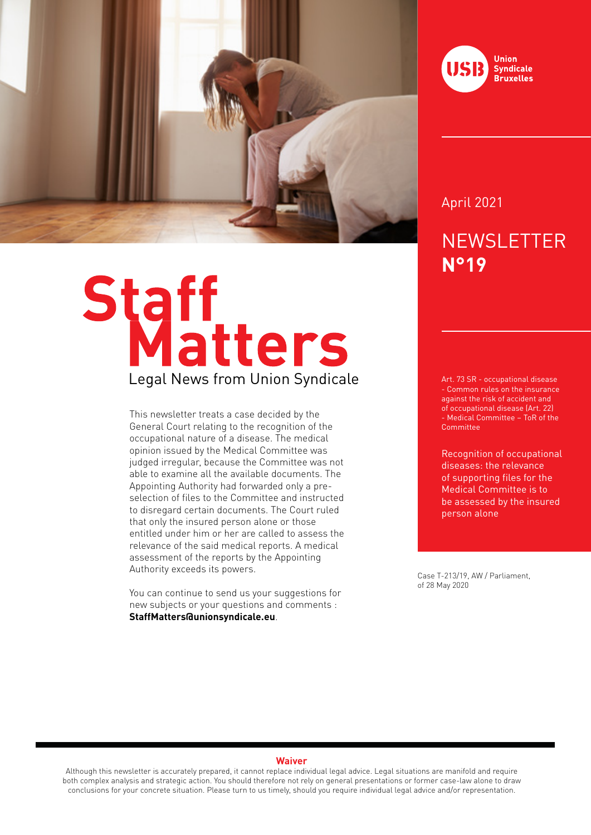

# Staff<br>Legal News from Union Syndicale

This newsletter treats a case decided by the General Court relating to the recognition of the occupational nature of a disease. The medical opinion issued by the Medical Committee was judged irregular, because the Committee was not able to examine all the available documents. The Appointing Authority had forwarded only a preselection of files to the Committee and instructed to disregard certain documents. The Court ruled that only the insured person alone or those entitled under him or her are called to assess the relevance of the said medical reports. A medical assessment of the reports by the Appointing Authority exceeds its powers.

You can continue to send us your suggestions for new subjects or your questions and comments : **StaffMatters@unionsyndicale.eu**.



April 2021

# **NEWSLETTER N°19**

Art. 73 SR - occupational disease - Common rules on the insurance against the risk of accident and of occupational disease (Art. 22) - Medical Committee – ToR of the Committee

Recognition of occupational diseases: the relevance of supporting files for the Medical Committee is to be assessed by the insured person alone

Case T-213/19, AW / Parliament, of 28 May 2020

### **Waiver**

Although this newsletter is accurately prepared, it cannot replace individual legal advice. Legal situations are manifold and require both complex analysis and strategic action. You should therefore not rely on general presentations or former case-law alone to draw conclusions for your concrete situation. Please turn to us timely, should you require individual legal advice and/or representation.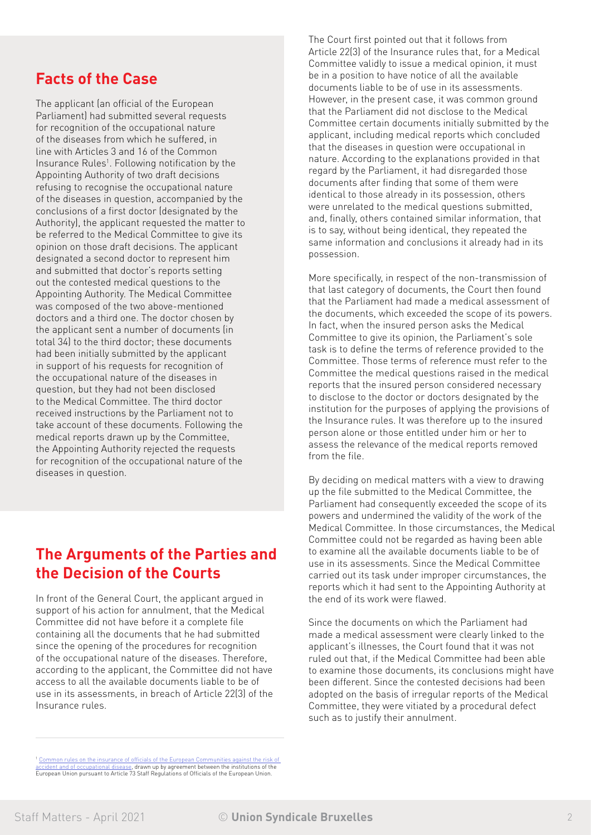### **Facts of the Case**

The applicant (an official of the European Parliament) had submitted several requests for recognition of the occupational nature of the diseases from which he suffered, in line with Articles 3 and 16 of the Common Insurance Rules<sup>1</sup>. Following notification by the Appointing Authority of two draft decisions refusing to recognise the occupational nature of the diseases in question, accompanied by the conclusions of a first doctor (designated by the Authority), the applicant requested the matter to be referred to the Medical Committee to give its opinion on those draft decisions. The applicant designated a second doctor to represent him and submitted that doctor's reports setting out the contested medical questions to the Appointing Authority. The Medical Committee was composed of the two above-mentioned doctors and a third one. The doctor chosen by the applicant sent a number of documents (in total 34) to the third doctor; these documents had been initially submitted by the applicant in support of his requests for recognition of the occupational nature of the diseases in question, but they had not been disclosed to the Medical Committee. The third doctor received instructions by the Parliament not to take account of these documents. Following the medical reports drawn up by the Committee, the Appointing Authority rejected the requests for recognition of the occupational nature of the diseases in question.

### **The Arguments of the Parties and the Decision of the Courts**

In front of the General Court, the applicant argued in support of his action for annulment, that the Medical Committee did not have before it a complete file containing all the documents that he had submitted since the opening of the procedures for recognition of the occupational nature of the diseases. Therefore, according to the applicant, the Committee did not have access to all the available documents liable to be of use in its assessments, in breach of Article 22(3) of the Insurance rules.

The Court first pointed out that it follows from Article 22(3) of the Insurance rules that, for a Medical Committee validly to issue a medical opinion, it must be in a position to have notice of all the available documents liable to be of use in its assessments. However, in the present case, it was common ground that the Parliament did not disclose to the Medical Committee certain documents initially submitted by the applicant, including medical reports which concluded that the diseases in question were occupational in nature. According to the explanations provided in that regard by the Parliament, it had disregarded those documents after finding that some of them were identical to those already in its possession, others were unrelated to the medical questions submitted, and, finally, others contained similar information, that is to say, without being identical, they repeated the same information and conclusions it already had in its possession.

More specifically, in respect of the non-transmission of that last category of documents, the Court then found that the Parliament had made a medical assessment of the documents, which exceeded the scope of its powers. In fact, when the insured person asks the Medical Committee to give its opinion, the Parliament's sole task is to define the terms of reference provided to the Committee. Those terms of reference must refer to the Committee the medical questions raised in the medical reports that the insured person considered necessary to disclose to the doctor or doctors designated by the institution for the purposes of applying the provisions of the Insurance rules. It was therefore up to the insured person alone or those entitled under him or her to assess the relevance of the medical reports removed from the file.

By deciding on medical matters with a view to drawing up the file submitted to the Medical Committee, the Parliament had consequently exceeded the scope of its powers and undermined the validity of the work of the Medical Committee. In those circumstances, the Medical Committee could not be regarded as having been able to examine all the available documents liable to be of use in its assessments. Since the Medical Committee carried out its task under improper circumstances, the reports which it had sent to the Appointing Authority at the end of its work were flawed.

Since the documents on which the Parliament had made a medical assessment were clearly linked to the applicant's illnesses, the Court found that it was not ruled out that, if the Medical Committee had been able to examine those documents, its conclusions might have been different. Since the contested decisions had been adopted on the basis of irregular reports of the Medical Committee, they were vitiated by a procedural defect such as to justify their annulment.

<sup>&</sup>lt;sup>1</sup> Common rules on the insurance of officials of the European Communities against the risk of ident and of occupational disease, drawn up by agreement between the institutions of the European Union pursuant to Article 73 Staff Regulations of Officials of the European Union.